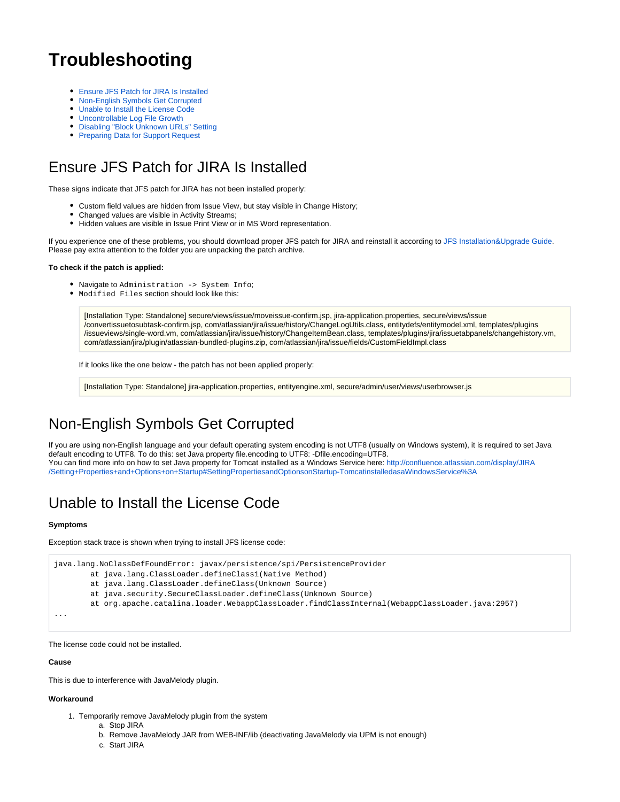# **Troubleshooting**

- [Ensure JFS Patch for JIRA Is Installed](#page-0-0)
- [Non-English Symbols Get Corrupted](#page-0-1)
- [Unable to Install the License Code](#page-0-2)
- [Uncontrollable Log File Growth](#page-1-0)
- [Disabling "Block Unknown URLs" Setting](#page-1-1)
- **[Preparing Data for Support Request](#page-1-2)**

### <span id="page-0-0"></span>Ensure JFS Patch for JIRA Is Installed

These signs indicate that JFS patch for JIRA has not been installed properly:

- Custom field values are hidden from Issue View, but stay visible in Change History;
- Changed values are visible in Activity Streams;
- $\bullet$ Hidden values are visible in Issue Print View or in MS Word representation.

If you experience one of these problems, you should download proper JFS patch for JIRA and reinstall it according to [JFS Installation&Upgrade Guide](https://quisapps.com/confluence/pages/viewpage.action?pageId=3047432). Please pay extra attention to the folder you are unpacking the patch archive.

#### **To check if the patch is applied:**

- Navigate to Administration -> System Info;
- Modified Files section should look like this:

[Installation Type: Standalone] secure/views/issue/moveissue-confirm.jsp, jira-application.properties, secure/views/issue /convertissuetosubtask-confirm.jsp, com/atlassian/jira/issue/history/ChangeLogUtils.class, entitydefs/entitymodel.xml, templates/plugins /issueviews/single-word.vm, com/atlassian/jira/issue/history/ChangeItemBean.class, templates/plugins/jira/issuetabpanels/changehistory.vm, com/atlassian/jira/plugin/atlassian-bundled-plugins.zip, com/atlassian/jira/issue/fields/CustomFieldImpl.class

If it looks like the one below - the patch has not been applied properly:

[Installation Type: Standalone] jira-application.properties, entityengine.xml, secure/admin/user/views/userbrowser.js

### <span id="page-0-1"></span>Non-English Symbols Get Corrupted

If you are using non-English language and your default operating system encoding is not UTF8 (usually on Windows system), it is required to set Java default encoding to UTF8. To do this: set Java property file.encoding to UTF8: -Dfile.encoding=UTF8. You can find more info on how to set Java property for Tomcat installed as a Windows Service here: [http://confluence.atlassian.com/display/JIRA](http://confluence.atlassian.com/display/JIRA/Setting+Properties+and+Options+on+Startup#SettingPropertiesandOptionsonStartup-TomcatinstalledasaWindowsService%3A) [/Setting+Properties+and+Options+on+Startup#SettingPropertiesandOptionsonStartup-TomcatinstalledasaWindowsService%3A](http://confluence.atlassian.com/display/JIRA/Setting+Properties+and+Options+on+Startup#SettingPropertiesandOptionsonStartup-TomcatinstalledasaWindowsService%3A)

### <span id="page-0-2"></span>Unable to Install the License Code

#### **Symptoms**

Exception stack trace is shown when trying to install JFS license code:

java.lang.NoClassDefFoundError: javax/persistence/spi/PersistenceProvider at java.lang.ClassLoader.defineClass1(Native Method) at java.lang.ClassLoader.defineClass(Unknown Source) at java.security.SecureClassLoader.defineClass(Unknown Source) at org.apache.catalina.loader.WebappClassLoader.findClassInternal(WebappClassLoader.java:2957) ...

The license code could not be installed.

#### **Cause**

This is due to interference with JavaMelody plugin.

#### **Workaround**

- 1. Temporarily remove JavaMelody plugin from the system
	- a. Stop JIRA b. Remove JavaMelody JAR from WEB-INF/lib (deactivating JavaMelody via UPM is not enough)
	- c. Start JIRA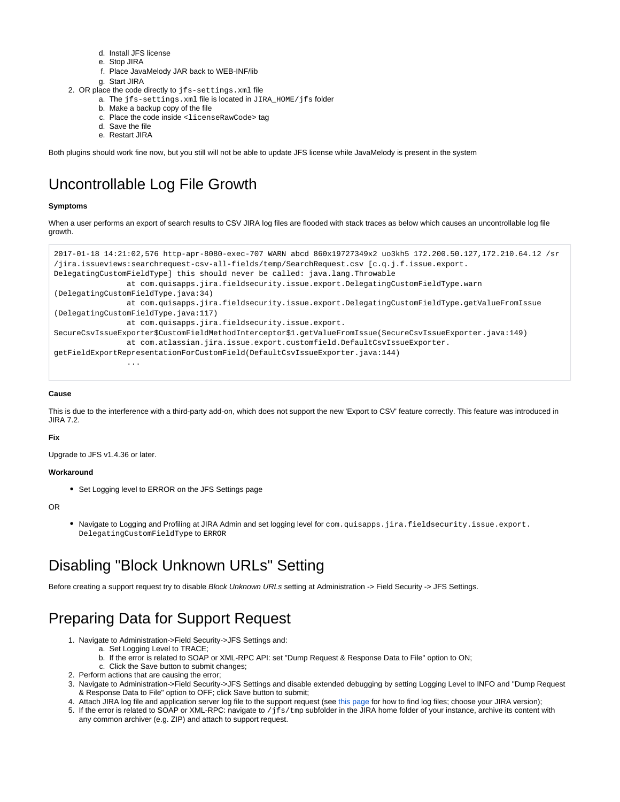- d. Install JFS license
- e. Stop JIRA
- f. Place JavaMelody JAR back to WEB-INF/lib
- g. Start JIRA
- 2. OR place the code directly to jfs-settings.xml file
	- a. The jfs-settings.xml file is located in JIRA\_HOME/jfs folder
	- b. Make a backup copy of the file
	- c. Place the code inside <licenseRawCode> tag
	- d. Save the file
	- e. Restart JIRA

Both plugins should work fine now, but you still will not be able to update JFS license while JavaMelody is present in the system

## <span id="page-1-0"></span>Uncontrollable Log File Growth

#### **Symptoms**

When a user performs an export of search results to CSV JIRA log files are flooded with stack traces as below which causes an uncontrollable log file growth.

```
2017-01-18 14:21:02,576 http-apr-8080-exec-707 WARN abcd 860x19727349x2 uo3kh5 172.200.50.127,172.210.64.12 /sr
/jira.issueviews:searchrequest-csv-all-fields/temp/SearchRequest.csv [c.q.j.f.issue.export.
DelegatingCustomFieldType] this should never be called: java.lang.Throwable
                at com.quisapps.jira.fieldsecurity.issue.export.DelegatingCustomFieldType.warn
(DelegatingCustomFieldType.java:34)
                at com.quisapps.jira.fieldsecurity.issue.export.DelegatingCustomFieldType.getValueFromIssue
(DelegatingCustomFieldType.java:117)
                at com.quisapps.jira.fieldsecurity.issue.export.
SecureCsvIssueExporter$CustomFieldMethodInterceptor$1.getValueFromIssue(SecureCsvIssueExporter.java:149)
                at com.atlassian.jira.issue.export.customfield.DefaultCsvIssueExporter.
getFieldExportRepresentationForCustomField(DefaultCsvIssueExporter.java:144)
 ...
```
#### **Cause**

This is due to the interference with a third-party add-on, which does not support the new 'Export to CSV' feature correctly. This feature was introduced in JIRA 7.2.

#### **Fix**

Upgrade to JFS v1.4.36 or later.

### **Workaround**

• Set Logging level to ERROR on the JFS Settings page

#### OR

. Navigate to Logging and Profiling at JIRA Admin and set logging level for com.quisapps.jira.fieldsecurity.issue.export. DelegatingCustomFieldType to ERROR

### <span id="page-1-1"></span>Disabling "Block Unknown URLs" Setting

Before creating a support request try to disable Block Unknown URLs setting at Administration -> Field Security -> JFS Settings.

### <span id="page-1-2"></span>Preparing Data for Support Request

- 1. Navigate to Administration->Field Security->JFS Settings and:
	- a. Set Logging Level to TRACE;
	- b. If the error is related to SOAP or XML-RPC API: set "Dump Request & Response Data to File" option to ON;
	- c. Click the Save button to submit changes;
- 2. Perform actions that are causing the error;
- 3. Navigate to Administration->Field Security->JFS Settings and disable extended debugging by setting Logging Level to INFO and "Dump Request & Response Data to File" option to OFF; click Save button to submit;
- 4. Attach JIRA log file and application server log file to the support request (see [this page](http://confluence.atlassian.com/pages/viewpage.action?pageId=16121981) for how to find log files; choose your JIRA version);
- 5. If the error is related to SOAP or XML-RPC: navigate to /jfs/tmp subfolder in the JIRA home folder of your instance, archive its content with any common archiver (e.g. ZIP) and attach to support request.

⋒